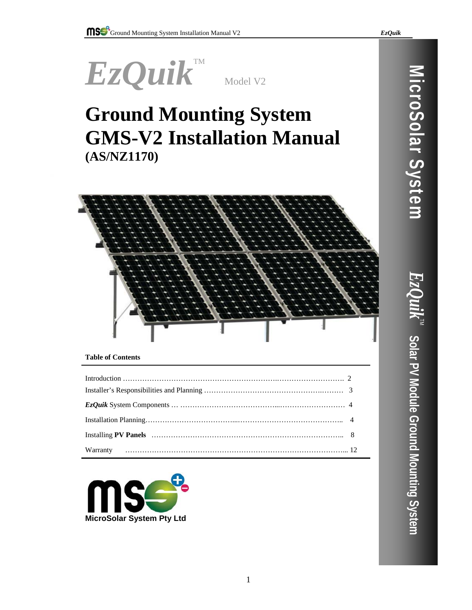

# **Ground Mounting System GMS-V2 Installation Manual (AS/NZ1170)**



# **Table of Contents**

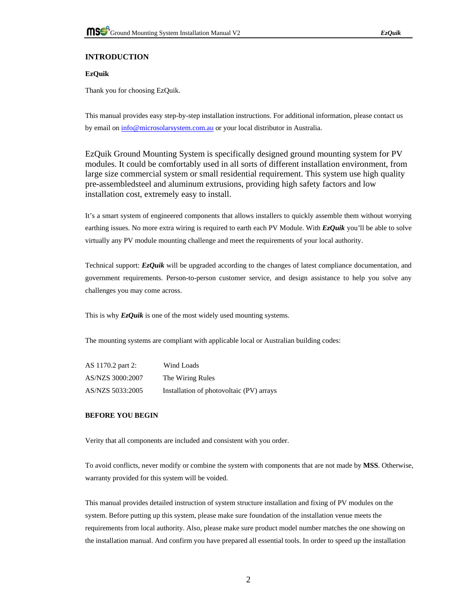

# **INTRODUCTION**

# **EzQuik**

Thank you for choosing EzQuik.

This manual provides easy step-by-step installation instructions. For additional information, please contact us by email on info@microsolarsystem.com.au or your local distributor in Australia.

EzQuik Ground Mounting System is specifically designed ground mounting system for PV modules. It could be comfortably used in all sorts of different installation environment, from large size commercial system or small residential requirement. This system use high quality pre-assembledsteel and aluminum extrusions, providing high safety factors and low installation cost, extremely easy to install.

It's a smart system of engineered components that allows installers to quickly assemble them without worrying earthing issues. No more extra wiring is required to earth each PV Module. With *EzQuik* you'll be able to solve virtually any PV module mounting challenge and meet the requirements of your local authority.

Technical support: *EzQuik* will be upgraded according to the changes of latest compliance documentation, and government requirements. Person-to-person customer service, and design assistance to help you solve any challenges you may come across.

This is why **EzOuik** is one of the most widely used mounting systems.

The mounting systems are compliant with applicable local or Australian building codes:

| AS 1170.2 part 2: | Wind Loads                               |
|-------------------|------------------------------------------|
| AS/NZS 3000:2007  | The Wiring Rules                         |
| AS/NZS 5033:2005  | Installation of photovoltaic (PV) arrays |

# **BEFORE YOU BEGIN**

Verity that all components are included and consistent with you order.

To avoid conflicts, never modify or combine the system with components that are not made by **MSS**. Otherwise, warranty provided for this system will be voided.

This manual provides detailed instruction of system structure installation and fixing of PV modules on the system. Before putting up this system, please make sure foundation of the installation venue meets the requirements from local authority. Also, please make sure product model number matches the one showing on the installation manual. And confirm you have prepared all essential tools. In order to speed up the installation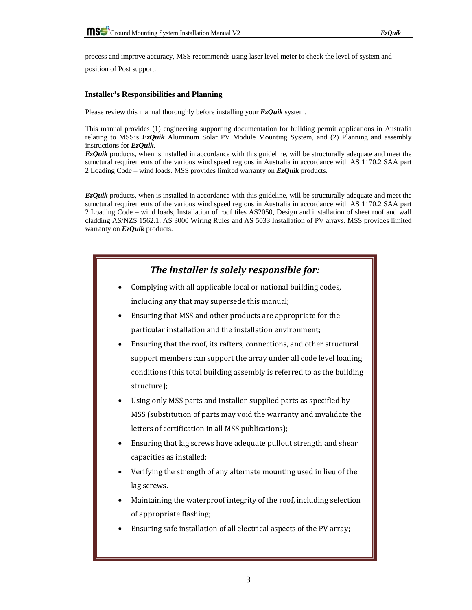process and improve accuracy, MSS recommends using laser level meter to check the level of system and

position of Post support.

## **Installer's Responsibilities and Planning**

Please review this manual thoroughly before installing your *EzQuik* system.

This manual provides (1) engineering supporting documentation for building permit applications in Australia relating to MSS's *EzQuik* Aluminum Solar PV Module Mounting System, and (2) Planning and assembly instructions for *EzQuik*.

*EzQuik* products, when is installed in accordance with this guideline, will be structurally adequate and meet the structural requirements of the various wind speed regions in Australia in accordance with AS 1170.2 SAA part 2 Loading Code – wind loads. MSS provides limited warranty on *EzQuik* products.

*EzQuik* products, when is installed in accordance with this guideline, will be structurally adequate and meet the structural requirements of the various wind speed regions in Australia in accordance with AS 1170.2 SAA part 2 Loading Code – wind loads, Installation of roof tiles AS2050, Design and installation of sheet roof and wall cladding AS/NZS 1562.1, AS 3000 Wiring Rules and AS 5033 Installation of PV arrays. MSS provides limited warranty on *EzQuik* products.

| The installer is solely responsible for:                                |
|-------------------------------------------------------------------------|
| Complying with all applicable local or national building codes,         |
| including any that may supersede this manual;                           |
| Ensuring that MSS and other products are appropriate for the            |
| particular installation and the installation environment;               |
| Ensuring that the roof, its rafters, connections, and other structural  |
| support members can support the array under all code level loading      |
| conditions (this total building assembly is referred to as the building |
| structure);                                                             |
| Using only MSS parts and installer-supplied parts as specified by       |
| MSS (substitution of parts may void the warranty and invalidate the     |
| letters of certification in all MSS publications);                      |
| Ensuring that lag screws have adequate pullout strength and shear       |
| capacities as installed;                                                |
| Verifying the strength of any alternate mounting used in lieu of the    |
| lag screws.                                                             |
| Maintaining the waterproof integrity of the roof, including selection   |
| of appropriate flashing;                                                |
| Ensuring safe installation of all electrical aspects of the PV array;   |
|                                                                         |
|                                                                         |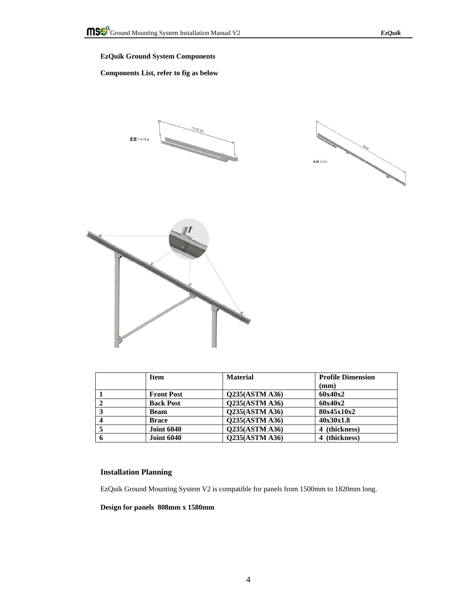# **EzQuik Ground System Components**

## **Components List, refer to fig as below**







|   | <b>Item</b>       | <b>Material</b>       | <b>Profile Dimension</b> |  |
|---|-------------------|-----------------------|--------------------------|--|
|   |                   |                       | (mm)                     |  |
|   | <b>Front Post</b> | <b>Q235(ASTM A36)</b> | 60x40x2                  |  |
|   | <b>Back Post</b>  | <b>Q235(ASTM A36)</b> | 60x40x2                  |  |
|   | <b>Beam</b>       | Q235(ASTM A36)        | 80x45x10x2               |  |
|   | <b>Brace</b>      | Q235(ASTM A36)        | 40x30x1.8                |  |
|   | <b>Joint 6040</b> | Q235(ASTM A36)        | 4 (thickness)            |  |
| 6 | <b>Joint 6040</b> | Q235(ASTM A36)        | 4 (thickness)            |  |

## **Installation Planning**

EzQuik Ground Mounting System V2 is compatible for panels from 1500mm to 1820mm long.

**Design for panels 808mm x 1580mm**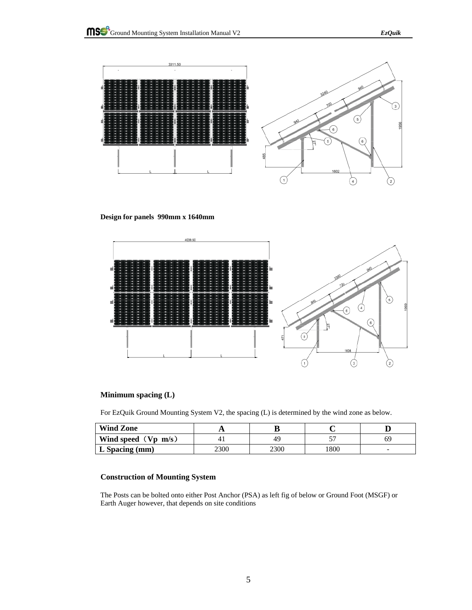

**Design for panels 990mm x 1640mm** 



## **Minimum spacing (L)**

For EzQuik Ground Mounting System V2, the spacing (L) is determined by the wind zone as below.

| <b>Wind Zone</b>         |      |      |      |    |
|--------------------------|------|------|------|----|
| Wind speed $(Vp \, m/s)$ |      | 49   |      | 69 |
| $L$ Spacing (mm)         | 2300 | 2300 | 1800 |    |

## **Construction of Mounting System**

The Posts can be bolted onto either Post Anchor (PSA) as left fig of below or Ground Foot (MSGF) or Earth Auger however, that depends on site conditions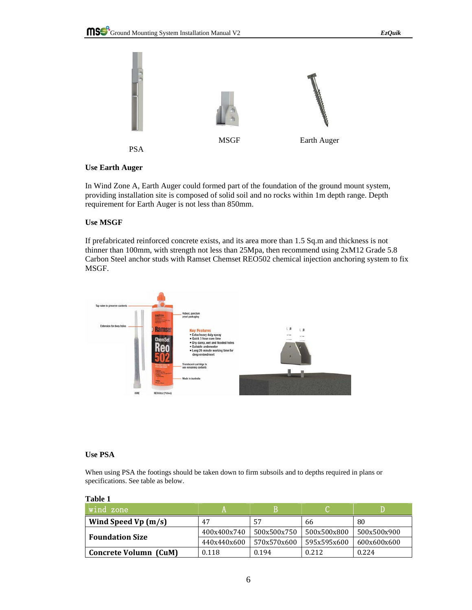

# **Use Earth Auger**

In Wind Zone A, Earth Auger could formed part of the foundation of the ground mount system, providing installation site is composed of solid soil and no rocks within 1m depth range. Depth requirement for Earth Auger is not less than 850mm.

# **Use MSGF**

If prefabricated reinforced concrete exists, and its area more than 1.5 Sq.m and thickness is not thinner than 100mm, with strength not less than 25Mpa, then recommend using 2xM12 Grade 5.8 Carbon Steel anchor studs with Ramset Chemset REO502 chemical injection anchoring system to fix MSGF.



# **Use PSA**

When using PSA the footings should be taken down to firm subsoils and to depths required in plans or specifications. See table as below.

| $^\prime$ wind zone    |             |             |             |             |
|------------------------|-------------|-------------|-------------|-------------|
| Wind Speed Vp $(m/s)$  | 47          | 57          | 66          | 80          |
| <b>Foundation Size</b> | 400x400x740 | 500x500x750 | 500x500x800 | 500x500x900 |
|                        | 440x440x600 | 570x570x600 | 595x595x600 | 600x600x600 |
| Concrete Volumn (CuM)  | 0.118       | 0.194       | 0.212       | 0.224       |

#### **Table 1**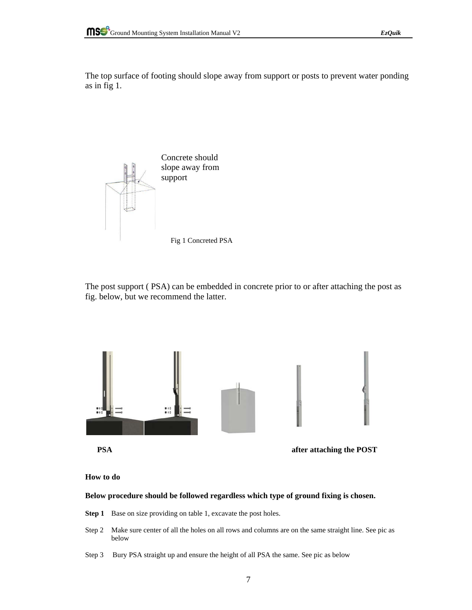The top surface of footing should slope away from support or posts to prevent water ponding as in fig 1.



The post support ( PSA) can be embedded in concrete prior to or after attaching the post as fig. below, but we recommend the latter.



**How to do** 

## **Below procedure should be followed regardless which type of ground fixing is chosen.**

- **Step 1** Base on size providing on table 1, excavate the post holes.
- Step 2 Make sure center of all the holes on all rows and columns are on the same straight line. See pic as below
- Step 3 Bury PSA straight up and ensure the height of all PSA the same. See pic as below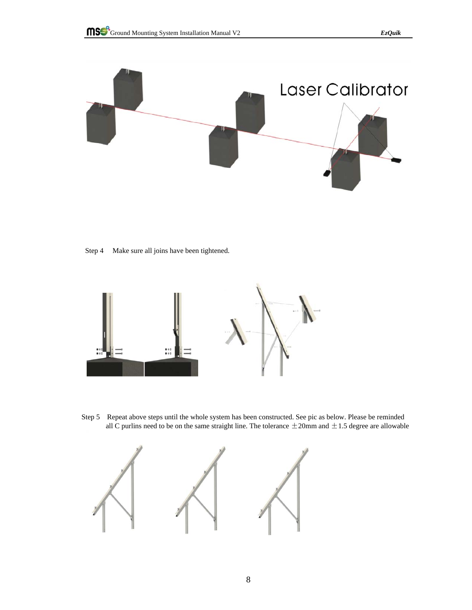

Step 4 Make sure all joins have been tightened.



Step 5 Repeat above steps until the whole system has been constructed. See pic as below. Please be reminded all C purlins need to be on the same straight line. The tolerance  $\pm$  20mm and  $\pm$  1.5 degree are allowable

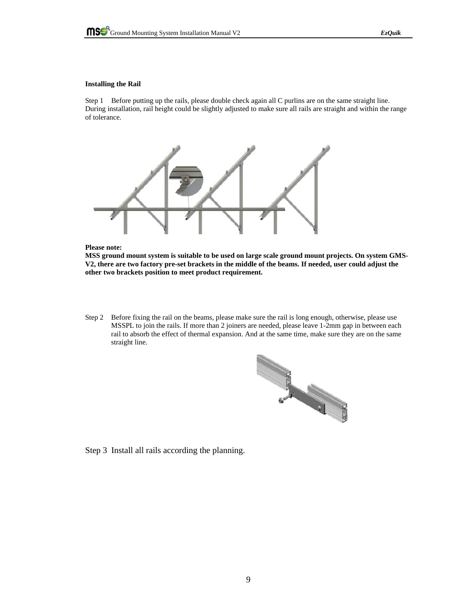#### **Installing the Rail**

Step 1 Before putting up the rails, please double check again all C purlins are on the same straight line. During installation, rail height could be slightly adjusted to make sure all rails are straight and within the range of tolerance.



#### **Please note:**

**MSS ground mount system is suitable to be used on large scale ground mount projects. On system GMS-V2, there are two factory pre-set brackets in the middle of the beams. If needed, user could adjust the other two brackets position to meet product requirement.** 

Step 2 Before fixing the rail on the beams, please make sure the rail is long enough, otherwise, please use MSSPL to join the rails. If more than 2 joiners are needed, please leave 1-2mm gap in between each rail to absorb the effect of thermal expansion. And at the same time, make sure they are on the same straight line.



Step 3 Install all rails according the planning.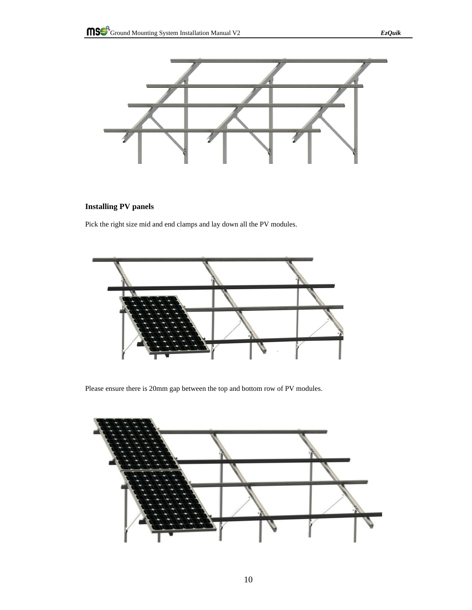

# **Installing PV panels**

Pick the right size mid and end clamps and lay down all the PV modules.



Please ensure there is 20mm gap between the top and bottom row of PV modules.

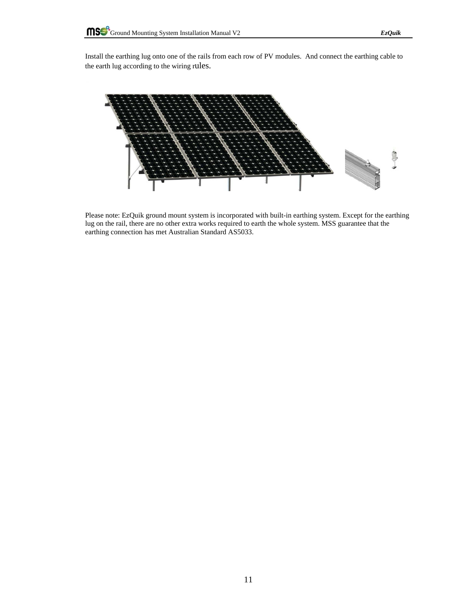Install the earthing lug onto one of the rails from each row of PV modules. And connect the earthing cable to the earth lug according to the wiring rules.



Please note: EzQuik ground mount system is incorporated with built-in earthing system. Except for the earthing lug on the rail, there are no other extra works required to earth the whole system. MSS guarantee that the earthing connection has met Australian Standard AS5033.